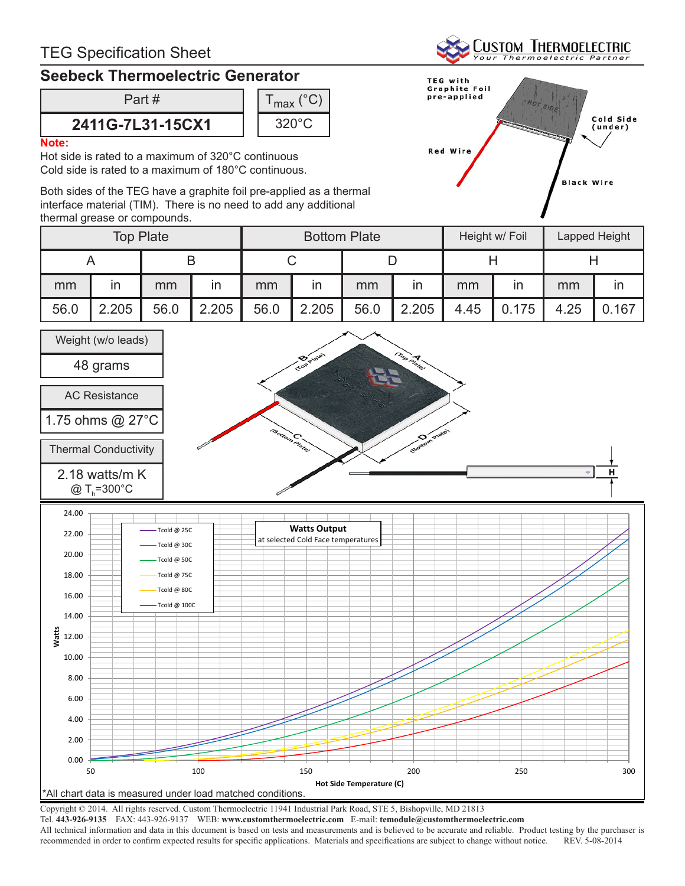## **Seebeck Thermoelectric Generator**

Part #

## **2411G-7L31-15CX1**



### **Note:**

Hot side is rated to a maximum of 320°C continuous Cold side is rated to a maximum of 180°C continuous.

Both sides of the TEG have a graphite foil pre-applied as a thermal interface material (TIM). There is no need to add any additional thermal grease or compounds.



**CUSTOM THERMOELECTRIC** 

| <b>Top Plate</b> |       |      |       | <b>Bottom Plate</b> |       |      |                         | Height w/ Foil |       | Lapped Height |       |
|------------------|-------|------|-------|---------------------|-------|------|-------------------------|----------------|-------|---------------|-------|
|                  |       |      |       |                     |       |      |                         |                |       |               |       |
| mm               | ın    | mm   | ın    | mm                  | ın    | mm   | $\mathsf{I} \mathsf{n}$ | mm             | ın    | mm            | ın    |
| 56.0             | 2.205 | 56.0 | 2.205 | 56.0                | 2.205 | 56.0 | 2.205                   | 4.45           | 0.175 | 4.25          | 0.167 |



Copyright © 2014. All rights reserved. Custom Thermoelectric 11941 Industrial Park Road, STE 5, Bishopville, MD 21813

Tel. **443-926-9135** FAX: 443-926-9137 WEB: **www.customthermoelectric.com** E-mail: **temodule@customthermoelectric.com**

All technical information and data in this document is based on tests and measurements and is believed to be accurate and reliable. Product testing by the purchaser is recommended in order to confirm expected results for specific applications. Materials and specifications are subject to change without notice. REV. 5-08-2014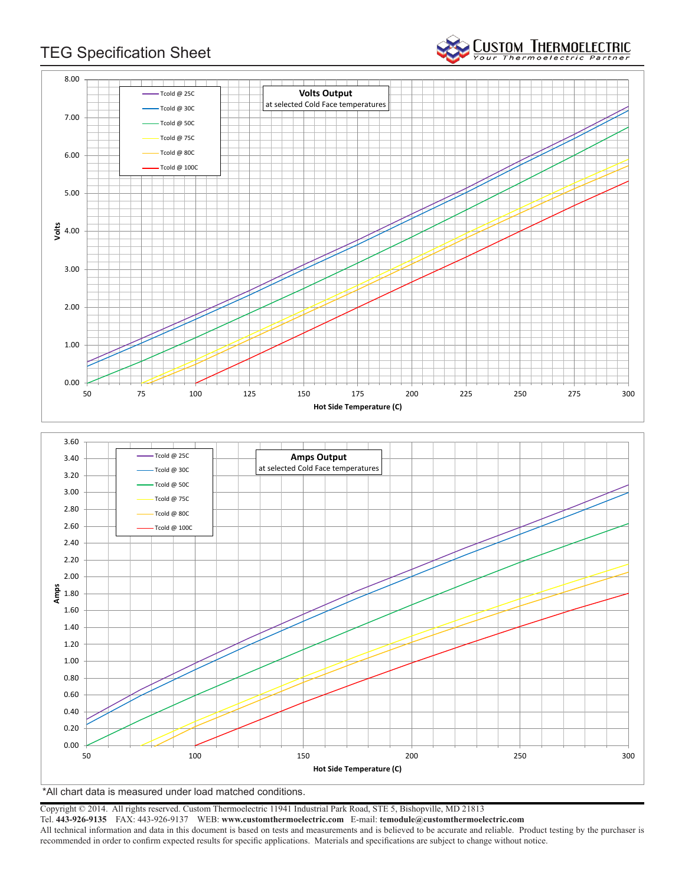

**CUSTOM THERMOELECTRIC** 



\*All chart data is measured under load matched conditions.

Copyright © 2014. All rights reserved. Custom Thermoelectric 11941 Industrial Park Road, STE 5, Bishopville, MD 21813

Tel. **443-926-9135** FAX: 443-926-9137 WEB: **www.customthermoelectric.com** E-mail: **temodule@customthermoelectric.com**

All technical information and data in this document is based on tests and measurements and is believed to be accurate and reliable. Product testing by the purchaser is recommended in order to confirm expected results for specific applications. Materials and specifications are subject to change without notice.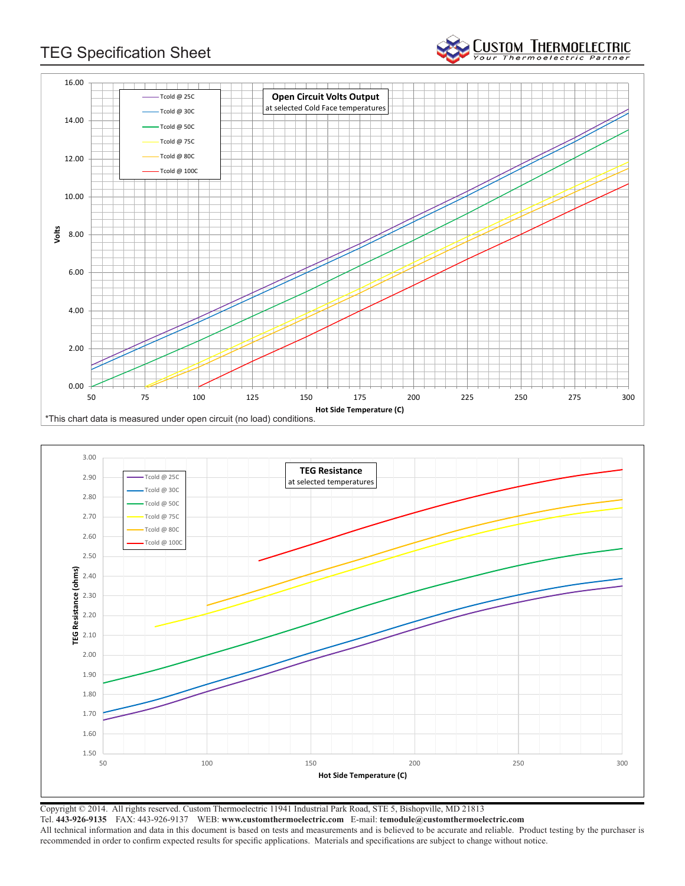

**CUSTOM THERMOELECTRIC** 



Copyright © 2014. All rights reserved. Custom Thermoelectric 11941 Industrial Park Road, STE 5, Bishopville, MD 21813 Tel. **443-926-9135** FAX: 443-926-9137 WEB: **www.customthermoelectric.com** E-mail: **temodule@customthermoelectric.com** All technical information and data in this document is based on tests and measurements and is believed to be accurate and reliable. Product testing by the purchaser is recommended in order to confirm expected results for specific applications. Materials and specifications are subject to change without notice.